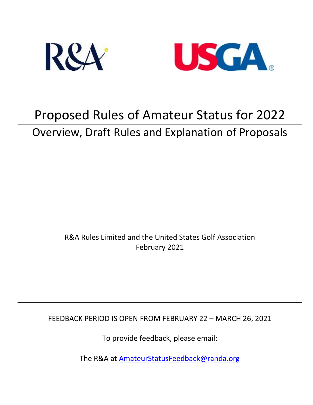



# Proposed Rules of Amateur Status for 2022 Overview, Draft Rules and Explanation of Proposals

R&A Rules Limited and the United States Golf Association February 2021

FEEDBACK PERIOD IS OPEN FROM FEBRUARY 22 – MARCH 26, 2021

To provide feedback, please email:

The R&A at [AmateurStatusFeed](mailto:AmateurStatusFeedback@randa.org)back@randa.or[g](mailto:AmStat@usga.org)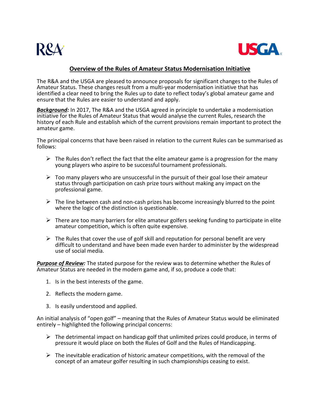



# **Overview of the Rules of Amateur Status Modernisation Initiative**

The R&A and the USGA are pleased to announce proposals for significant changes to the Rules of Amateur Status. These changes result from a multi-year modernisation initiative that has identified a clear need to bring the Rules up to date to reflect today's global amateur game and ensure that the Rules are easier to understand and apply.

*Background:* In 2017, The R&A and the USGA agreed in principle to undertake a modernisation initiative for the Rules of Amateur Status that would analyse the current Rules, research the history of each Rule and establish which of the current provisions remain important to protect the amateur game.

The principal concerns that have been raised in relation to the current Rules can be summarised as follows:

- $\triangleright$  The Rules don't reflect the fact that the elite amateur game is a progression for the many young players who aspire to be successful tournament professionals.
- $\triangleright$  Too many players who are unsuccessful in the pursuit of their goal lose their amateur status through participation on cash prize tours without making any impact on the professional game.
- $\triangleright$  The line between cash and non-cash prizes has become increasingly blurred to the point where the logic of the distinction is questionable.
- $\triangleright$  There are too many barriers for elite amateur golfers seeking funding to participate in elite amateur competition, which is often quite expensive.
- $\triangleright$  The Rules that cover the use of golf skill and reputation for personal benefit are very difficult to understand and have been made even harder to administer by the widespread use of social media.

*Purpose of Review:* The stated purpose for the review was to determine whether the Rules of Amateur Status are needed in the modern game and, if so, produce a code that:

- 1. Is in the best interests of the game.
- 2. Reflects the modern game.
- 3. Is easily understood and applied.

An initial analysis of "open golf" – meaning that the Rules of Amateur Status would be eliminated entirely – highlighted the following principal concerns:

- $\triangleright$  The detrimental impact on handicap golf that unlimited prizes could produce, in terms of pressure it would place on both the Rules of Golf and the Rules of Handicapping.
- $\triangleright$  The inevitable eradication of historic amateur competitions, with the removal of the concept of an amateur golfer resulting in such championships ceasing to exist.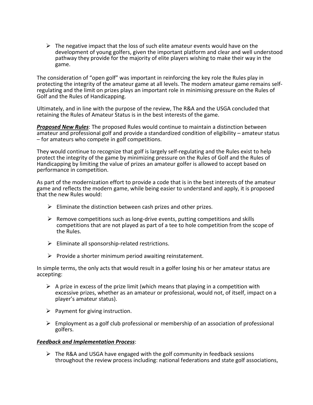$\triangleright$  The negative impact that the loss of such elite amateur events would have on the development of young golfers, given the important platform and clear and well understood pathway they provide for the majority of elite players wishing to make their way in the game.

The consideration of "open golf" was important in reinforcing the key role the Rules play in<br>protecting the integrity of the amateur game at all levels. The modern amateur game remains selfregulating and the limit on prizes plays an important role in minimising pressure on the Rules of Golf and the Rules of Handicapping.

Ultimately, and in line with the purpose of the review, The R&A and the USGA concluded that retaining the Rules of Amateur Status is in the best interests of the game.

*Proposed New Rules*: The proposed Rules would continue to maintain a distinction between amateur and professional golf and provide a standardized condition of eligibility – amateur status – for amateurs who compete in golf competitions.

They would continue to recognize that golf is largely self-regulating and the Rules exist to help protect the integrity of the game by minimizing pressure on the Rules of Golf and the Rules of Handicapping by limiting the value of prizes an amateur golfer is allowed to accept based on performance in competition.

As part of the modernization effort to provide a code that is in the best interests of the amateur game and reflects the modern game, while being easier to understand and apply, it is proposed that the new Rules would:

- $\triangleright$  Eliminate the distinction between cash prizes and other prizes.
- $\triangleright$  Remove competitions such as long-drive events, putting competitions and skills competitions that are not played as part of a tee to hole competition from the scope of the Rules.
- $\triangleright$  Eliminate all sponsorship-related restrictions.
- $\triangleright$  Provide a shorter minimum period awaiting reinstatement.

In simple terms, the only acts that would result in a golfer losing his or her amateur status are accepting:

- $\triangleright$  A prize in excess of the prize limit (which means that playing in a competition with excessive prizes, whether as an amateur or professional, would not, of itself, impact on a player's amateur status).
- $\triangleright$  Payment for giving instruction.
- $\triangleright$  Employment as a golf club professional or membership of an association of professional golfers.

#### *Feedback and Implementation Process*:

 $\triangleright$  The R&A and USGA have engaged with the golf community in feedback sessions throughout the review process including: national federations and state golf associations,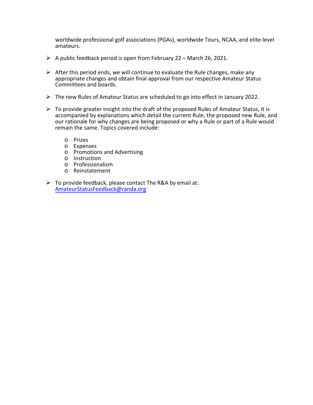worldwide professional golf associations (PGAs), worldwide Tours, NCAA, and elite-level amateurs.

- $\triangleright$  A public feedback period is open from February 22 March 26, 2021.
- $\triangleright$  After this period ends, we will continue to evaluate the Rule changes, make any appropriate changes and obtain final approval from our respective Amateur Status Committees and boards.
- $\triangleright$  The new Rules of Amateur Status are scheduled to go into effect in January 2022.
- $\triangleright$  To provide greater insight into the draft of the proposed Rules of Amateur Status, it is accompanied by explanations which detail the current Rule, the proposed new Rule, and our rationale for why changes are being proposed or why a Rule or part of a Rule would remain the same. Topics covered include:
	- o Prizes
	- o Expenses
	- o Promotions and Advertising
	- o Instruction
	- o Professionalism
	- o Reinstatement
- $\triangleright$  To provide feedback, please contact The R&A by e[mail at](mailto:AmStat@usga.org): [AmateurStatusFeedback@randa.org](mailto:AmateurStatusFeedback@randa.org)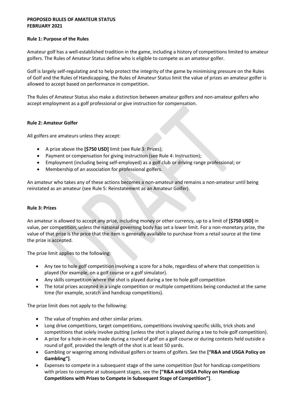### **PROPOSED RULES OF AMATEUR STATUS FEBRUARY 2021**

#### **Rule 1: Purpose of the Rules**

Amateur golf has a well-established tradition in the game, including a history of competitions limited to amateur golfers. The Rules of Amateur Status define who is eligible to compete as an amateur golfer.

Golf is largely self-regulating and to help protect the integrity of the game by minimising pressure on the Rules of Golf and the Rules of Handicapping, the Rules of Amateur Status limit the value of prizes an amateur golfer is allowed to accept based on performance in competition.

The Rules of Amateur Status also make a distinction between amateur golfers and non-amateur golfers who accept employment as a golf professional or give instruction for compensation.

## **Rule 2: Amateur Golfer**

All golfers are amateurs unless they accept:

- A prize above the **[\$750 USD]** limit (see Rule 3: Prizes);
- Payment or compensation for giving instruction (see Rule 4: Instruction);
- Employment (including being self-employed) as a golf club or driving range professional; or
- Membership of an association for professional golfers.

An amateur who takes any of these actions becomes a non-amateur and remains a non-amateur until being reinstated as an amateur (see Rule 5: Reinstatement as an Amateur Golfer).

#### **Rule 3: Prizes**

An amateur is allowed to accept any prize, including money or other currency, up to a limit of **[\$750 USD]** in value, per competition, unless the national governing body has set a lower limit. For a non-monetary prize, the value of that prize is the price that the item is generally available to purchase from a retail source at the time the prize is accepted.

The prize limit applies to the following:

- Any tee to hole golf competition involving a score for a hole, regardless of where that competition is played (for example, on a golf course or a golf simulator).
- Any skills competition where the shot is played during a tee to hole golf competition
- The total prizes accepted in a single competition or multiple competitions being conducted at the same time (for example, scratch and handicap competitions).

The prize limit does not apply to the following:

- The value of trophies and other similar prizes.
- Long drive competitions, target competitions, competitions involving specific skills, trick shots and competitions that solely involve putting (unless the shot is played during a tee to hole golf competition).
- A prize for a hole-in-one made during a round of golf on a golf course or during contests held outside a round of golf, provided the length of the shot is at least 50 yards.
- Gambling or wagering among individual golfers or teams of golfers. See the **["R&A and USGA Policy on Gambling"]**.
- Expenses to compete in a subsequent stage of the same competition (but for handicap competitions with prizes to compete at subsequent stages, see the **["R&A and USGA Policy on Handicap Competitions with Prizes to Compete in Subsequent Stage of Competition"]**.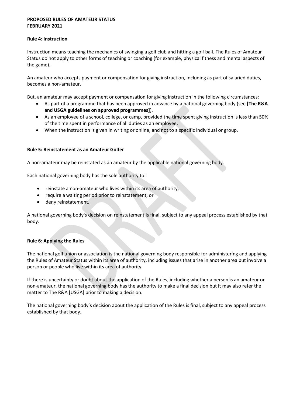### **PROPOSED RULES OF AMATEUR STATUS FEBRUARY 2021**

#### **Rule 4: Instruction**

Instruction means teaching the mechanics of swinging a golf club and hitting a golf ball. The Rules of Amateur Status do not apply to other forms of teaching or coaching (for example, physical fitness and mental aspects of the game).

An amateur who accepts payment or compensation for giving instruction, including as part of salaried duties, becomes a non-amateur.

But, an amateur may accept payment or compensation for giving instruction in the following circumstances:

- As part of a programme that has been approved in advance by a national governing body (see **[The R&A and USGA guidelines on approved programmes]**).
- As an employee of a school, college, or camp, provided the time spent giving instruction is less than 50% of the time spent in performance of all duties as an employee.
- When the instruction is given in writing or online, and not to a specific individual or group.

#### **Rule 5: Reinstatement as an Amateur Golfer**

A non-amateur may be reinstated as an amateur by the applicable national governing body.

Each national governing body has the sole authority to:

- reinstate a non-amateur who lives within its area of authority,
- require a waiting period prior to reinstatement, or
- deny reinstatement.

A national governing body's decision on reinstatement is final, subject to any appeal process established by that body.

#### **Rule 6: Applying the Rules**

The national golf union or association is the national governing body responsible for administering and applying the Rules of Amateur Status within its area of authority, including issues that arise in another area but involve a person or people who live within its area of authority.

If there is uncertainty or doubt about the application of the Rules, including whether a person is an amateur or non-amateur, the national governing body has the authority to make a final decision but it may also refer the matter to The R&A [USGA] prior to making a decision.

The national governing body's decision about the application of the Rules is final, subject to any appeal process established by that body.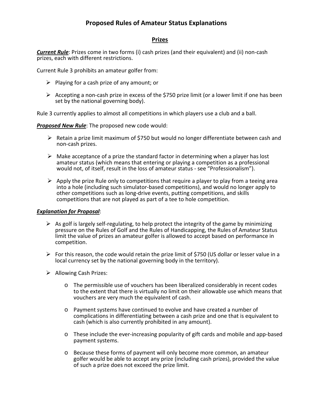## **Prizes**

*Current Rule*: Prizes come in two forms (i) cash prizes (and their equivalent) and (ii) non-cash prizes, each with different restrictions.

Current Rule 3 prohibits an amateur golfer from:

- $\triangleright$  Playing for a cash prize of any amount; or
- $\triangleright$  Accepting a non-cash prize in excess of the \$750 prize limit (or a lower limit if one has been set by the national governing body).

Rule 3 currently applies to almost all competitions in which players use a club and a ball.

*Proposed New Rule*: The proposed new code would:

- $\triangleright$  Retain a prize limit maximum of \$750 but would no longer differentiate between cash and non-cash prizes.
- $\triangleright$  Make acceptance of a prize the standard factor in determining when a player has lost amateur status (which means that entering or playing a competition as a professional would not, of itself, result in the loss of amateur status - see "Professionalism").
- $\triangleright$  Apply the prize Rule only to competitions that require a player to play from a teeing area into a hole (including such simulator-based competitions), and would no longer apply to other competitions such as long-drive events, putting competitions, and skills competitions that are not played as part of a tee to hole competition.

- $\triangleright$  As golf is largely self-regulating, to help protect the integrity of the game by minimizing pressure on the Rules of Golf and the Rules of Handicapping, the Rules of Amateur Status limit the value of prizes an amateur golfer is allowed to accept based on performance in competition.
- For this reason, the code would retain the prize limit of \$750 (US dollar or lesser value in a local currency set by the national governing body in the territory).
- $\triangleright$  Allowing Cash Prizes:
	- o The permissible use of vouchers has been liberalized considerably in recent codes to the extent that there is virtually no limit on their allowable use which means that vouchers are very much the equivalent of cash.
	- o Payment systems have continued to evolve and have created a number of complications in differentiating between a cash prize and one that is equivalent to cash (which is also currently prohibited in any amount).
	- o These include the ever-increasing popularity of gift cards and mobile and app-based payment systems.
	- o Because these forms of payment will only become more common, an amateur golfer would be able to accept any prize (including cash prizes), provided the value of such a prize does not exceed the prize limit.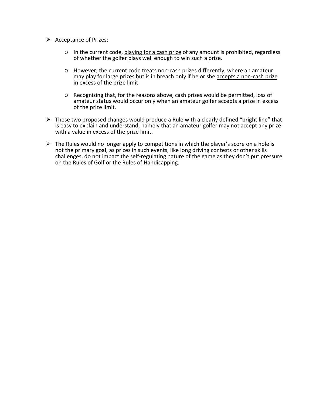- $\triangleright$  Acceptance of Prizes:
	- $\circ$  In the current code, playing for a cash prize of any amount is prohibited, regardless of whether the golfer plays well enough to win such a prize.
	- o However, the current code treats non-cash prizes differently, where an amateur may play for large prizes but is in breach only if he or she accepts a non-cash prize in excess of the prize limit.
	- o Recognizing that, for the reasons above, cash prizes would be permitted, loss of amateur status would occur only when an amateur golfer accepts a prize in excess of the prize limit.
- $\triangleright$  These two proposed changes would produce a Rule with a clearly defined "bright line" that is easy to explain and understand, namely that an amateur golfer may not accept any prize with a value in excess of the prize limit.
- $\triangleright$  The Rules would no longer apply to competitions in which the player's score on a hole is not the primary goal, as prizes in such events, like long driving contests or other skills challenges, do not impact the self-regulating nature of the game as they don't put pressure on the Rules of Golf or the Rules of Handicapping.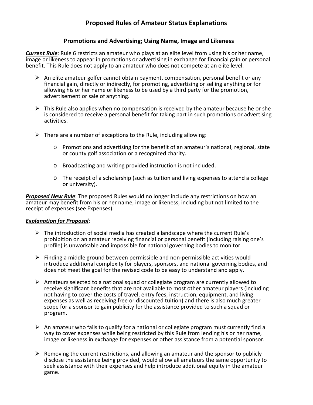# **Promotions and Advertising; Using Name, Image and Likeness**

*Current Rule*: Rule 6 restricts an amateur who plays at an elite level from using his or her name, image or likeness to appear in promotions or advertising in exchange for financial gain or personal benefit. This Rule does not apply to an amateur who does not compete at an elite level.

- $\triangleright$  An elite amateur golfer cannot obtain payment, compensation, personal benefit or any financial gain, directly or indirectly, for promoting, advertising or selling anything or for allowing his or her name or likeness to be used by a third party for the promotion, advertisement or sale of anything.
- $\triangleright$  This Rule also applies when no compensation is received by the amateur because he or she is considered to receive a personal benefit for taking part in such promotions or advertising activities.
- $\triangleright$  There are a number of exceptions to the Rule, including allowing:
	- o Promotions and advertising for the benefit of an amateur's national, regional, state or county golf association or a recognized charity.
	- o Broadcasting and writing provided instruction is not included.
	- $\circ$  The receipt of a scholarship (such as tuition and living expenses to attend a college or university).

*Proposed New Rule*: The proposed Rules would no longer include any restrictions on how an amateur may benefit from his or her name, image or likeness, including but not limited to the receipt of expenses (see Expenses).

- $\triangleright$  The introduction of social media has created a landscape where the current Rule's prohibition on an amateur receiving financial or personal benefit (including raising one's profile) is unworkable and impossible for national governing bodies to monitor.
- $\triangleright$  Finding a middle ground between permissible and non-permissible activities would introduce additional complexity for players, sponsors, and national governing bodies, and does not meet the goal for the revised code to be easy to understand and apply.
- $\triangleright$  Amateurs selected to a national squad or collegiate program are currently allowed to receive significant benefits that are not available to most other amateur players (including not having to cover the costs of travel, entry fees, instruction, equipment, and living expenses as well as receiving free or discounted tuition) and there is also much greater scope for a sponsor to gain publicity for the assistance provided to such a squad or program.
- $\triangleright$  An amateur who fails to qualify for a national or collegiate program must currently find a way to cover expenses while being restricted by this Rule from lending his or her name, image or likeness in exchange for expenses or other assistance from a potential sponsor.
- $\triangleright$  Removing the current restrictions, and allowing an amateur and the sponsor to publicly disclose the assistance being provided, would allow all amateurs the same opportunity to seek assistance with their expenses and help introduce additional equity in the amateur game.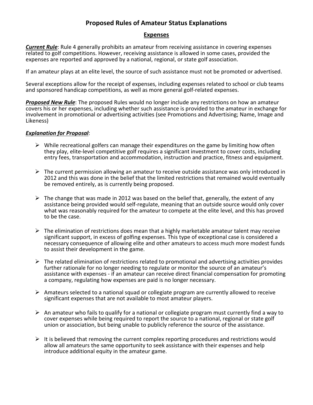## **Expenses**

*Current Rule*: Rule 4 generally prohibits an amateur from receiving assistance in covering expenses related to golf competitions. However, receiving assistance is allowed in some cases, provided the expenses are reported and approved by a national, regional, or state golf association.

If an amateur plays at an elite level, the source of such assistance must not be promoted or advertised.

Several exceptions allow for the receipt of expenses, including expenses related to school or club teams and sponsored handicap competitions, as well as more general golf-related expenses.

*Proposed New Rule*: The proposed Rules would no longer include any restrictions on how an amateur covers his or her expenses, including whether such assistance is provided to the amateur in exchange for involvement in promotional or advertising activities (see Promotions and Advertising; Name, Image and Likeness)

- $\triangleright$  While recreational golfers can manage their expenditures on the game by limiting how often they play, elite-level competitive golf requires a significant investment to cover costs, including entry fees, transportation and accommodation, instruction and practice, fitness and equipment.
- $\triangleright$  The current permission allowing an amateur to receive outside assistance was only introduced in 2012 and this was done in the belief that the limited restrictions that remained would eventually be removed entirely, as is currently being proposed.
- $\triangleright$  The change that was made in 2012 was based on the belief that, generally, the extent of any assistance being provided would self-regulate, meaning that an outside source would only cover what was reasonably required for the amateur to compete at the elite level, and this has proved to be the case.
- $\triangleright$  The elimination of restrictions does mean that a highly marketable amateur talent may receive significant support, in excess of golfing expenses. This type of exceptional case is considered a necessary consequence of allowing elite and other amateurs to access much more modest funds to assist their development in the game.
- $\triangleright$  The related elimination of restrictions related to promotional and advertising activities provides further rationale for no longer needing to regulate or monitor the source of an amateur's assistance with expenses - if an amateur can receive direct financial compensation for promoting a company, regulating how expenses are paid is no longer necessary.
- $\triangleright$  Amateurs selected to a national squad or collegiate program are currently allowed to receive significant expenses that are not available to most amateur players.
- $\triangleright$  An amateur who fails to qualify for a national or collegiate program must currently find a way to cover expenses while being required to report the source to a national, regional or state golf union or association, but being unable to publicly reference the source of the assistance.
- $\triangleright$  It is believed that removing the current complex reporting procedures and restrictions would allow all amateurs the same opportunity to seek assistance with their expenses and help introduce additional equity in the amateur game.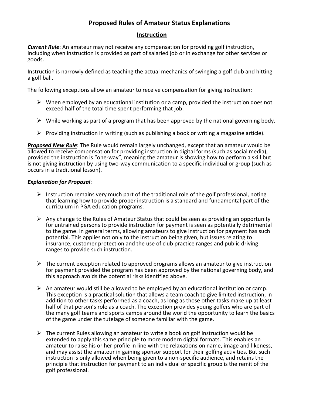# **Instruction**

*Current Rule*: An amateur may not receive any compensation for providing golf instruction, including when instruction is provided as part of salaried job or in exchange for other services or goods.

Instruction is narrowly defined as teaching the actual mechanics of swinging a golf club and hitting a golf ball.

The following exceptions allow an amateur to receive compensation for giving instruction:

- $\triangleright$  When employed by an educational institution or a camp, provided the instruction does not exceed half of the total time spent performing that job.
- $\triangleright$  While working as part of a program that has been approved by the national governing body.
- $\triangleright$  Providing instruction in writing (such as publishing a book or writing a magazine article).

*Proposed New Rule*: The Rule would remain largely unchanged, except that an amateur would be allowed to receive compensation for providing instruction in digital forms (such as social media), provided the instruction is "one-way", meaning the amateur is showing how to perform a skill but is not giving instruction by using two-way communication to a specific individual or group (such as occurs in a traditional lesson).

- $\triangleright$  Instruction remains very much part of the traditional role of the golf professional, noting that learning how to provide proper instruction is a standard and fundamental part of the curriculum in PGA education programs.
- $\triangleright$  Any change to the Rules of Amateur Status that could be seen as providing an opportunity for untrained persons to provide instruction for payment is seen as potentially detrimental to the game. In general terms, allowing amateurs to give instruction for payment has such potential. This applies not only to the instruction being given, but issues relating to insurance, customer protection and the use of club practice ranges and public driving ranges to provide such instruction.
- $\triangleright$  The current exception related to approved programs allows an amateur to give instruction for payment provided the program has been approved by the national governing body, and this approach avoids the potential risks identified above.
- $\triangleright$  An amateur would still be allowed to be employed by an educational institution or camp. This exception is a practical solution that allows a team coach to give limited instruction, in addition to other tasks performed as a coach, as long as those other tasks make up at least half of that person's role as a coach. The exception provides young golfers who are part of the many golf teams and sports camps around the world the opportunity to learn the basics of the game under the tutelage of someone familiar with the game.
- $\triangleright$  The current Rules allowing an amateur to write a book on golf instruction would be extended to apply this same principle to more modern digital formats. This enables an amateur to raise his or her profile in line with the relaxations on name, image and likeness, and may assist the amateur in gaining sponsor support for their golfing activities. But such instruction is only allowed when being given to a non-specific audience, and retains the principle that instruction for payment to an individual or specific group is the remit of the golf professional.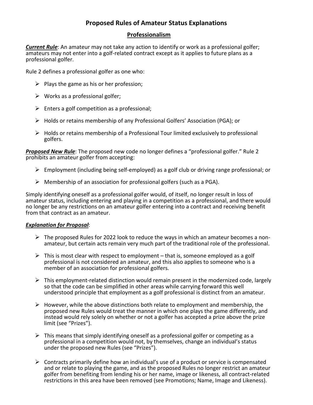# **Professionalism**

*Current Rule*: An amateur may not take any action to identify or work as a professional golfer; amateurs may not enter into a golf-related contract except as it applies to future plans as a professional golfer.

Rule 2 defines a professional golfer as one who:

- $\triangleright$  Plays the game as his or her profession;
- $\triangleright$  Works as a professional golfer;
- $\triangleright$  Enters a golf competition as a professional;
- Holds or retains membership of any Professional Golfers' Association (PGA); or
- $\triangleright$  Holds or retains membership of a Professional Tour limited exclusively to professional golfers.

*Proposed New Rule*: The proposed new code no longer defines a "professional golfer." Rule 2 prohibits an amateur golfer from accepting:

- $\triangleright$  Employment (including being self-employed) as a golf club or driving range professional; or
- $\triangleright$  Membership of an association for professional golfers (such as a PGA).

Simply identifying oneself as a professional golfer would, of itself, no longer result in loss of amateur status, including entering and playing in a competition as a professional, and there would no longer be any restrictions on an amateur golfer entering into a contract and receiving benefit from that contract as an amateur.

- $\triangleright$  The proposed Rules for 2022 look to reduce the ways in which an amateur becomes a nonamateur, but certain acts remain very much part of the traditional role of the professional.
- $\triangleright$  This is most clear with respect to employment that is, someone employed as a golf professional is not considered an amateur, and this also applies to someone who is a member of an association for professional golfers.
- $\triangleright$  This employment-related distinction would remain present in the modernized code, largely so that the code can be simplified in other areas while carrying forward this well understood principle that employment as a golf professional is distinct from an amateur.
- $\triangleright$  However, while the above distinctions both relate to employment and membership, the proposed new Rules would treat the manner in which one plays the game differently, and instead would rely solely on whether or not a golfer has accepted a prize above the prize limit (see "Prizes").
- $\triangleright$  This means that simply identifying oneself as a professional golfer or competing as a professional in a competition would not, by themselves, change an individual's status under the proposed new Rules (see "Prizes").
- $\triangleright$  Contracts primarily define how an individual's use of a product or service is compensated and or relate to playing the game, and as the proposed Rules no longer restrict an amateur golfer from benefiting from lending his or her name, image or likeness, all contract-related restrictions in this area have been removed (see Promotions; Name, Image and Likeness).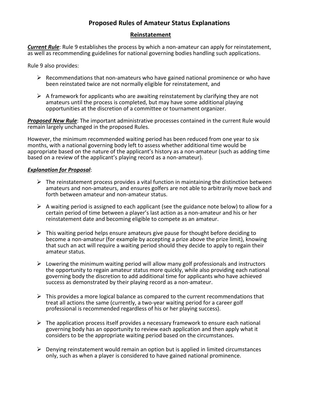# **Reinstatement**

*Current Rule*: Rule 9 establishes the process by which a non-amateur can apply for reinstatement, as well as recommending guidelines for national governing bodies handling such applications.

Rule 9 also provides:

- $\triangleright$  Recommendations that non-amateurs who have gained national prominence or who have been reinstated twice are not normally eligible for reinstatement, and
- $\triangleright$  A framework for applicants who are awaiting reinstatement by clarifying they are not amateurs until the process is completed, but may have some additional playing opportunities at the discretion of a committee or tournament organizer.

*Proposed New Rule*: The important administrative processes contained in the current Rule would remain largely unchanged in the proposed Rules.

However, the minimum recommended waiting period has been reduced from one year to six months, with a national governing body left to assess whether additional time would be appropriate based on the nature of the applicant's history as a non-amateur (such as adding time based on a review of the applicant's playing record as a non-amateur).

- $\triangleright$  The reinstatement process provides a vital function in maintaining the distinction between amateurs and non-amateurs, and ensures golfers are not able to arbitrarily move back and forth between amateur and non-amateur status.
- $\triangleright$  A waiting period is assigned to each applicant (see the guidance note below) to allow for a certain period of time between a player's last action as a non-amateur and his or her reinstatement date and becoming eligible to compete as an amateur.
- $\triangleright$  This waiting period helps ensure amateurs give pause for thought before deciding to become a non-amateur (for example by accepting a prize above the prize limit), knowing that such an act will require a waiting period should they decide to apply to regain their amateur status.
- $\triangleright$  Lowering the minimum waiting period will allow many golf professionals and instructors the opportunity to regain amateur status more quickly, while also providing each national governing body the discretion to add additional time for applicants who have achieved success as demonstrated by their playing record as a non-amateur.
- $\triangleright$  This provides a more logical balance as compared to the current recommendations that treat all actions the same (currently, a two-year waiting period for a career golf professional is recommended regardless of his or her playing success).
- $\triangleright$  The application process itself provides a necessary framework to ensure each national governing body has an opportunity to review each application and then apply what it considers to be the appropriate waiting period based on the circumstances.
- $\triangleright$  Denving reinstatement would remain an option but is applied in limited circumstances only, such as when a player is considered to have gained national prominence.